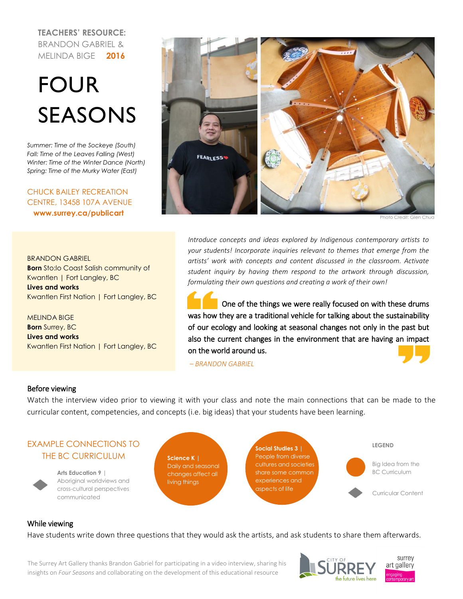**TEACHERS' RESOURCE:** BRANDON GABRIEL & MELINDA BIGE **2016**

# FOUR SEASONS

*Summer: Time of the Sockeye (South) Fall: Time of the Leaves Falling (West) Winter: Time of the Winter Dance (North) Spring: Time of the Murky Water (East)*

CHUCK BAILEY RECREATION CENTRE, 13458 107A AVENUE **www.surrey.ca/publicart**

BRANDON GABRIEL **Born** Sto:lo Coast Salish community of Kwantlen | Fort Langley, BC **Lives and works** Kwantlen First Nation | Fort Langley, BC

MELINDA BIGE **Born** Surrey, BC **Lives and works**  Kwantlen First Nation | Fort Langley, BC



Photo Credit: Glen Chua

*Introduce concepts and ideas explored by Indigenous contemporary artists to your students! Incorporate inquiries relevant to themes that emerge from the artists' work with concepts and content discussed in the classroom. Activate student inquiry by having them respond to the artwork through discussion, formulating their own questions and creating a work of their own!*

 One of the things we were really focused on with these drums was how they are a traditional vehicle for talking about the sustainability of our ecology and looking at seasonal changes not only in the past but also the current changes in the environment that are having an impact on the world around us.

*– BRANDON GABRIEL*



#### Before viewing

Watch the interview video prior to viewing it with your class and note the main connections that can be made to the curricular content, competencies, and concepts (i.e. big ideas) that your students have been learning.



### While viewing

Have students write down three questions that they would ask the artists, and ask students to share them afterwards.

The Surrey Art Gallery thanks Brandon Gabriel for participating in a video interview, sharing his insights on *Four Seasons* and collaborating on the development of this educational resource